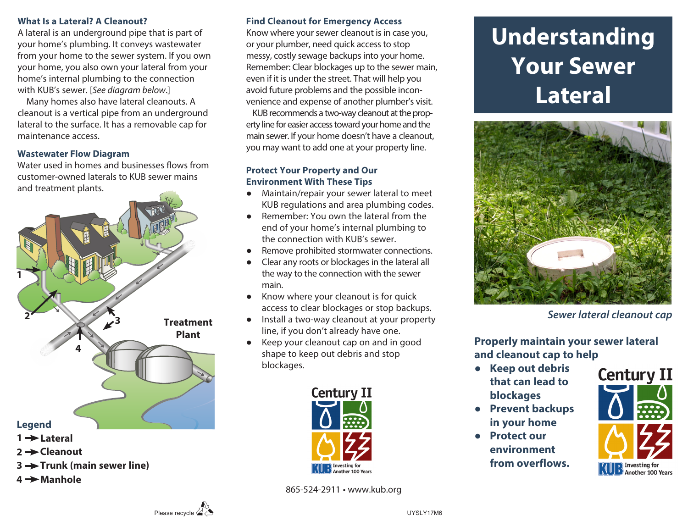#### **What Is a Lateral? A Cleanout?**

A lateral is an underground pipe that is part of your home's plumbing. It conveys wastewater from your home to the sewer system. If you own your home, you also own your lateral from your home's internal plumbing to the connection with KUB's sewer. [*See diagram below*.]

 Many homes also have lateral cleanouts. A cleanout is a vertical pipe from an underground lateral to the surface. It has a removable cap for maintenance access.

# **Wastewater Flow Diagram**

Water used in homes and businesses flows from customer-owned laterals to KUB sewer mains and treatment plants.



- **Cleanout 2**
- **Trunk (main sewer line) 3**
- **4 → Manhole**

# **Find Cleanout for Emergency Access**

Know where your sewer cleanout is in case you, or your plumber, need quick access to stop messy, costly sewage backups into your home. Remember: Clear blockages up to the sewer main, even if it is under the street. That will help you avoid future problems and the possible inconvenience and expense of another plumber's visit.

 KUB recommends a two-way cleanout at the property line for easier access toward your home and the main sewer. If your home doesn't have a cleanout, you may want to add one at your property line.

### **Protect Your Property and Our Environment With These Tips**

- **●** Maintain/repair your sewer lateral to meet KUB regulations and area plumbing codes.
- **●** Remember: You own the lateral from the end of your home's internal plumbing to the connection with KUB's sewer.
- **●** Remove prohibited stormwater connections.
- **●** Clear any roots or blockages in the lateral all the way to the connection with the sewer main.
- **●** Know where your cleanout is for quick access to clear blockages or stop backups.
- **●** Install a two-way cleanout at your property line, if you don't already have one.
- **●** Keep your cleanout cap on and in good shape to keep out debris and stop blockages.



865-524-2911 • www.kub.org

# **Understanding Your Sewer Lateral**



*Sewer lateral cleanout cap*

**Properly maintain your sewer lateral and cleanout cap to help** 

- **● Keep out debris that can lead to blockages**
- **● Prevent backups in your home**
- **● Protect our environment from overflows.**